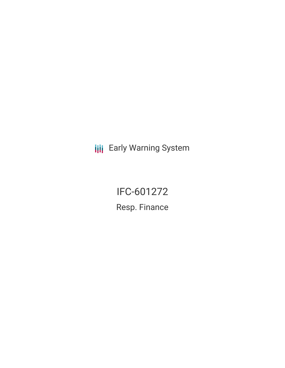**III** Early Warning System

IFC-601272 Resp. Finance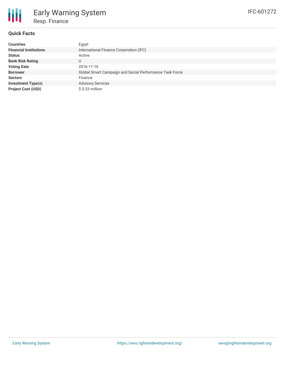## **Quick Facts**

| <b>Countries</b>              | Egypt                                                   |
|-------------------------------|---------------------------------------------------------|
| <b>Financial Institutions</b> | International Finance Corporation (IFC)                 |
| <b>Status</b>                 | Active                                                  |
| <b>Bank Risk Rating</b>       | U                                                       |
| <b>Voting Date</b>            | 2016-11-16                                              |
| <b>Borrower</b>               | Global Smart Campaign and Social Performance Task Force |
| <b>Sectors</b>                | Finance                                                 |
| <b>Investment Type(s)</b>     | <b>Advisory Services</b>                                |
| <b>Project Cost (USD)</b>     | $$0.53$ million                                         |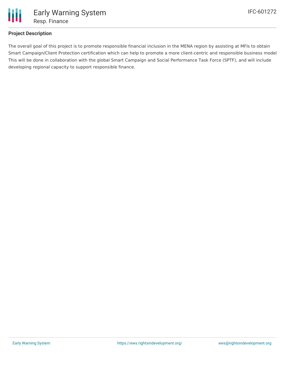

## **Project Description**

The overall goal of this project is to promote responsible financial inclusion in the MENA region by assisting at MFIs to obtain Smart Campaign/Client Protection certification which can help to promote a more client-centric and responsible business model This will be done in collaboration with the global Smart Campaign and Social Performance Task Force (SPTF), and will include developing regional capacity to support responsible finance.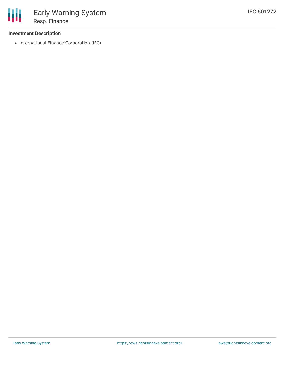## **Investment Description**

• International Finance Corporation (IFC)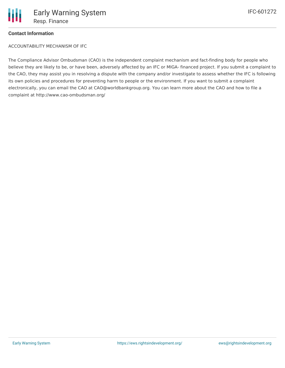

## **Contact Information**

ACCOUNTABILITY MECHANISM OF IFC

The Compliance Advisor Ombudsman (CAO) is the independent complaint mechanism and fact-finding body for people who believe they are likely to be, or have been, adversely affected by an IFC or MIGA- financed project. If you submit a complaint to the CAO, they may assist you in resolving a dispute with the company and/or investigate to assess whether the IFC is following its own policies and procedures for preventing harm to people or the environment. If you want to submit a complaint electronically, you can email the CAO at CAO@worldbankgroup.org. You can learn more about the CAO and how to file a complaint at http://www.cao-ombudsman.org/